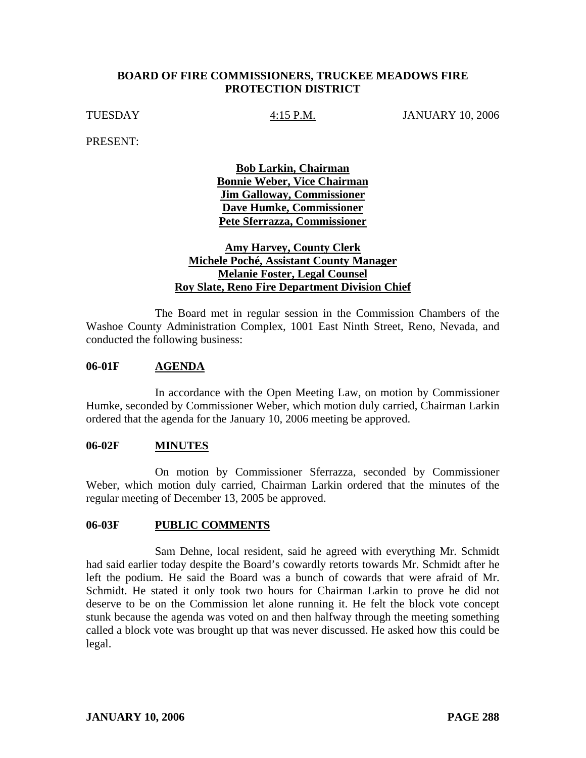### **BOARD OF FIRE COMMISSIONERS, TRUCKEE MEADOWS FIRE PROTECTION DISTRICT**

TUESDAY 4:15 P.M. JANUARY 10, 2006

PRESENT:

**Bob Larkin, Chairman Bonnie Weber, Vice Chairman Jim Galloway, Commissioner Dave Humke, Commissioner Pete Sferrazza, Commissioner**

## **Amy Harvey, County Clerk Michele Poché, Assistant County Manager Melanie Foster, Legal Counsel Roy Slate, Reno Fire Department Division Chief**

The Board met in regular session in the Commission Chambers of the Washoe County Administration Complex, 1001 East Ninth Street, Reno, Nevada, and conducted the following business:

### **06-01F AGENDA**

In accordance with the Open Meeting Law, on motion by Commissioner Humke, seconded by Commissioner Weber, which motion duly carried, Chairman Larkin ordered that the agenda for the January 10, 2006 meeting be approved.

### **06-02F MINUTES**

On motion by Commissioner Sferrazza, seconded by Commissioner Weber, which motion duly carried, Chairman Larkin ordered that the minutes of the regular meeting of December 13, 2005 be approved.

### **06-03F PUBLIC COMMENTS**

Sam Dehne, local resident, said he agreed with everything Mr. Schmidt had said earlier today despite the Board's cowardly retorts towards Mr. Schmidt after he left the podium. He said the Board was a bunch of cowards that were afraid of Mr. Schmidt. He stated it only took two hours for Chairman Larkin to prove he did not deserve to be on the Commission let alone running it. He felt the block vote concept stunk because the agenda was voted on and then halfway through the meeting something called a block vote was brought up that was never discussed. He asked how this could be legal.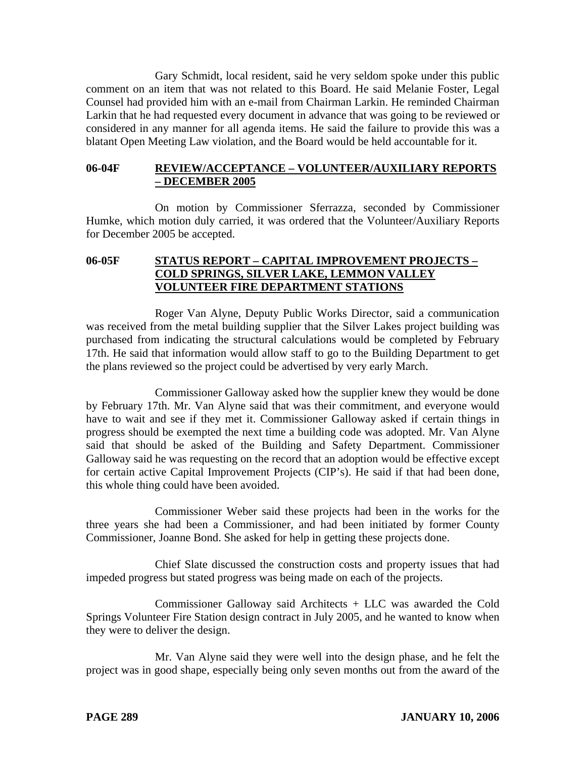Gary Schmidt, local resident, said he very seldom spoke under this public comment on an item that was not related to this Board. He said Melanie Foster, Legal Counsel had provided him with an e-mail from Chairman Larkin. He reminded Chairman Larkin that he had requested every document in advance that was going to be reviewed or considered in any manner for all agenda items. He said the failure to provide this was a blatant Open Meeting Law violation, and the Board would be held accountable for it.

### **06-04F REVIEW/ACCEPTANCE – VOLUNTEER/AUXILIARY REPORTS – DECEMBER 2005**

On motion by Commissioner Sferrazza, seconded by Commissioner Humke, which motion duly carried, it was ordered that the Volunteer/Auxiliary Reports for December 2005 be accepted.

# **06-05F STATUS REPORT – CAPITAL IMPROVEMENT PROJECTS – COLD SPRINGS, SILVER LAKE, LEMMON VALLEY VOLUNTEER FIRE DEPARTMENT STATIONS**

Roger Van Alyne, Deputy Public Works Director, said a communication was received from the metal building supplier that the Silver Lakes project building was purchased from indicating the structural calculations would be completed by February 17th. He said that information would allow staff to go to the Building Department to get the plans reviewed so the project could be advertised by very early March.

Commissioner Galloway asked how the supplier knew they would be done by February 17th. Mr. Van Alyne said that was their commitment, and everyone would have to wait and see if they met it. Commissioner Galloway asked if certain things in progress should be exempted the next time a building code was adopted. Mr. Van Alyne said that should be asked of the Building and Safety Department. Commissioner Galloway said he was requesting on the record that an adoption would be effective except for certain active Capital Improvement Projects (CIP's). He said if that had been done, this whole thing could have been avoided.

Commissioner Weber said these projects had been in the works for the three years she had been a Commissioner, and had been initiated by former County Commissioner, Joanne Bond. She asked for help in getting these projects done.

Chief Slate discussed the construction costs and property issues that had impeded progress but stated progress was being made on each of the projects.

Commissioner Galloway said Architects + LLC was awarded the Cold Springs Volunteer Fire Station design contract in July 2005, and he wanted to know when they were to deliver the design.

Mr. Van Alyne said they were well into the design phase, and he felt the project was in good shape, especially being only seven months out from the award of the